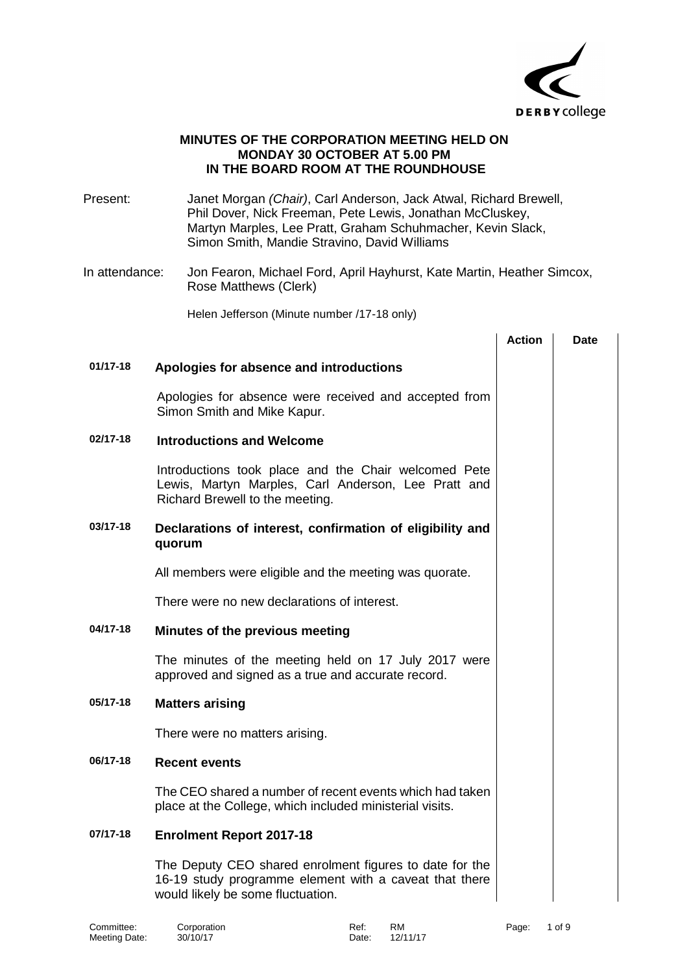

### **MINUTES OF THE CORPORATION MEETING HELD ON MONDAY 30 OCTOBER AT 5.00 PM IN THE BOARD ROOM AT THE ROUNDHOUSE**

Present: Janet Morgan *(Chair)*, Carl Anderson, Jack Atwal, Richard Brewell, Phil Dover, Nick Freeman, Pete Lewis, Jonathan McCluskey, Martyn Marples, Lee Pratt, Graham Schuhmacher, Kevin Slack, Simon Smith, Mandie Stravino, David Williams

In attendance: Jon Fearon, Michael Ford, April Hayhurst, Kate Martin, Heather Simcox, Rose Matthews (Clerk)

Helen Jefferson (Minute number /17-18 only)

|              |                                                                                                                                                        | <b>Action</b> | Date |
|--------------|--------------------------------------------------------------------------------------------------------------------------------------------------------|---------------|------|
| $01/17 - 18$ | Apologies for absence and introductions                                                                                                                |               |      |
|              | Apologies for absence were received and accepted from<br>Simon Smith and Mike Kapur.                                                                   |               |      |
| 02/17-18     | <b>Introductions and Welcome</b>                                                                                                                       |               |      |
|              | Introductions took place and the Chair welcomed Pete<br>Lewis, Martyn Marples, Carl Anderson, Lee Pratt and<br>Richard Brewell to the meeting.         |               |      |
| 03/17-18     | Declarations of interest, confirmation of eligibility and<br>quorum                                                                                    |               |      |
|              | All members were eligible and the meeting was quorate.                                                                                                 |               |      |
|              | There were no new declarations of interest.                                                                                                            |               |      |
| 04/17-18     | Minutes of the previous meeting                                                                                                                        |               |      |
|              | The minutes of the meeting held on 17 July 2017 were<br>approved and signed as a true and accurate record.                                             |               |      |
| 05/17-18     | <b>Matters arising</b>                                                                                                                                 |               |      |
|              | There were no matters arising.                                                                                                                         |               |      |
| 06/17-18     | <b>Recent events</b>                                                                                                                                   |               |      |
|              | The CEO shared a number of recent events which had taken<br>place at the College, which included ministerial visits.                                   |               |      |
| 07/17-18     | <b>Enrolment Report 2017-18</b>                                                                                                                        |               |      |
|              | The Deputy CEO shared enrolment figures to date for the<br>16-19 study programme element with a caveat that there<br>would likely be some fluctuation. |               |      |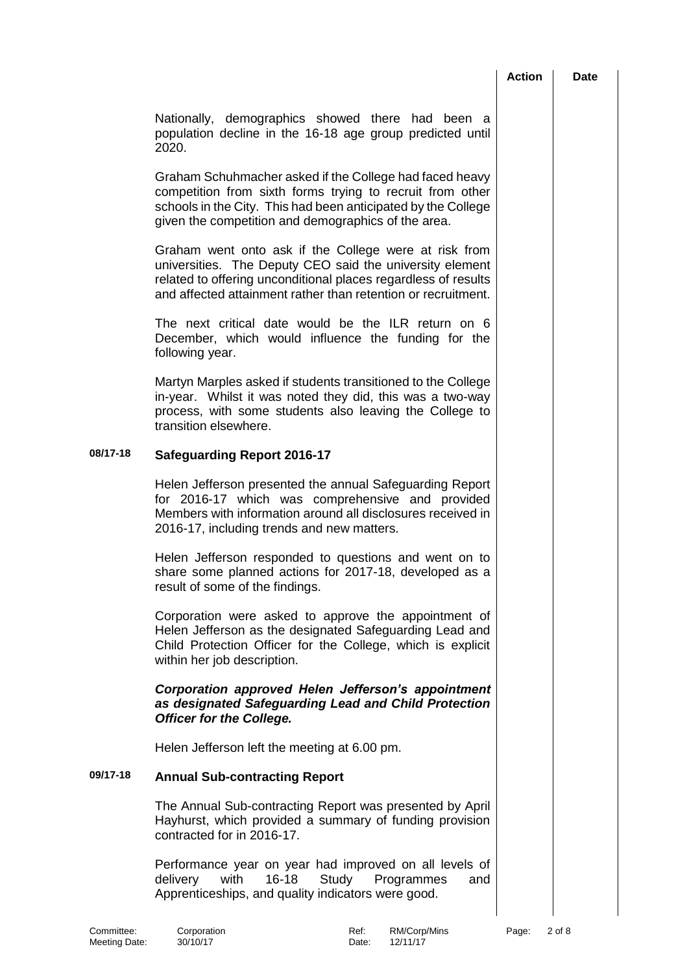|                                                                                                                                                                                                                                                      | <b>Action</b> | <b>Date</b> |
|------------------------------------------------------------------------------------------------------------------------------------------------------------------------------------------------------------------------------------------------------|---------------|-------------|
| Nationally, demographics showed there had been a<br>population decline in the 16-18 age group predicted until<br>2020.                                                                                                                               |               |             |
| Graham Schuhmacher asked if the College had faced heavy<br>competition from sixth forms trying to recruit from other<br>schools in the City. This had been anticipated by the College<br>given the competition and demographics of the area.         |               |             |
| Graham went onto ask if the College were at risk from<br>universities. The Deputy CEO said the university element<br>related to offering unconditional places regardless of results<br>and affected attainment rather than retention or recruitment. |               |             |
| The next critical date would be the ILR return on 6<br>December, which would influence the funding for the<br>following year.                                                                                                                        |               |             |
| Martyn Marples asked if students transitioned to the College<br>in-year. Whilst it was noted they did, this was a two-way<br>process, with some students also leaving the College to<br>transition elsewhere.                                        |               |             |
| <b>Safeguarding Report 2016-17</b>                                                                                                                                                                                                                   |               |             |
| Helen Jefferson presented the annual Safeguarding Report<br>for 2016-17 which was comprehensive and provided<br>Members with information around all disclosures received in<br>2016-17, including trends and new matters.                            |               |             |
| Helen Jefferson responded to questions and went on to<br>share some planned actions for 2017-18, developed as a                                                                                                                                      |               |             |

Corporation were asked to approve the appointment of Helen Jefferson as the designated Safeguarding Lead and Child Protection Officer for the College, which is explicit within her job description.

# *Corporation approved Helen Jefferson's appointment as designated Safeguarding Lead and Child Protection Officer for the College.*

Helen Jefferson left the meeting at 6.00 pm.

**08/17-18 Safeguarding Report 2016-17**

result of some of the findings.

### **09/17-18 Annual Sub-contracting Report**

The Annual Sub-contracting Report was presented by April Hayhurst, which provided a summary of funding provision contracted for in 2016-17.

Performance year on year had improved on all levels of delivery with 16-18 Study Programmes and Apprenticeships, and quality indicators were good.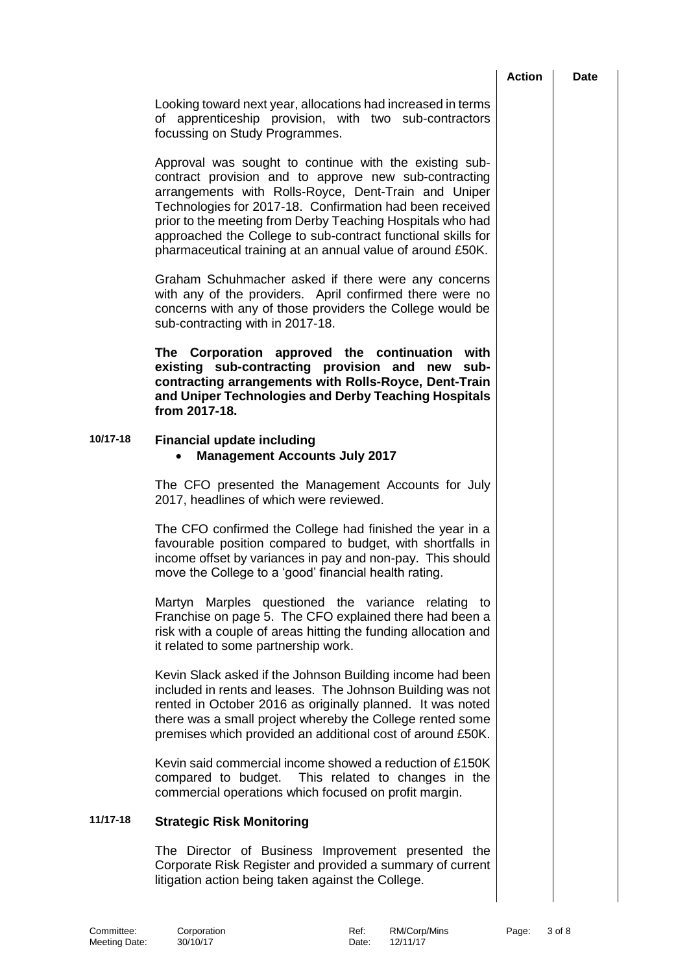#### **Action Date**

Looking toward next year, allocations had increased in terms of apprenticeship provision, with two sub-contractors focussing on Study Programmes.

Approval was sought to continue with the existing subcontract provision and to approve new sub-contracting arrangements with Rolls-Royce, Dent-Train and Uniper Technologies for 2017-18. Confirmation had been received prior to the meeting from Derby Teaching Hospitals who had approached the College to sub-contract functional skills for pharmaceutical training at an annual value of around £50K.

Graham Schuhmacher asked if there were any concerns with any of the providers. April confirmed there were no concerns with any of those providers the College would be sub-contracting with in 2017-18.

**The Corporation approved the continuation with existing sub-contracting provision and new subcontracting arrangements with Rolls-Royce, Dent-Train and Uniper Technologies and Derby Teaching Hospitals from 2017-18.**

# **10/17-18 Financial update including**

### **Management Accounts July 2017**

The CFO presented the Management Accounts for July 2017, headlines of which were reviewed.

The CFO confirmed the College had finished the year in a favourable position compared to budget, with shortfalls in income offset by variances in pay and non-pay. This should move the College to a 'good' financial health rating.

Martyn Marples questioned the variance relating to Franchise on page 5. The CFO explained there had been a risk with a couple of areas hitting the funding allocation and it related to some partnership work.

Kevin Slack asked if the Johnson Building income had been included in rents and leases. The Johnson Building was not rented in October 2016 as originally planned. It was noted there was a small project whereby the College rented some premises which provided an additional cost of around £50K.

Kevin said commercial income showed a reduction of £150K compared to budget. This related to changes in the commercial operations which focused on profit margin.

# **11/17-18 Strategic Risk Monitoring**

The Director of Business Improvement presented the Corporate Risk Register and provided a summary of current litigation action being taken against the College.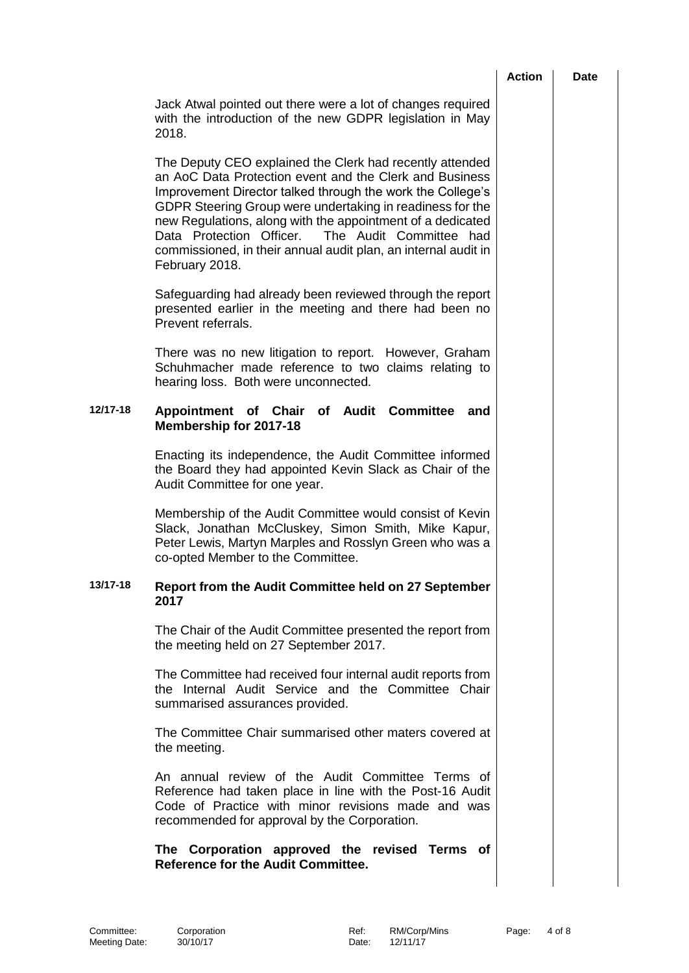|          |                                                                                                                                                                                                                                                                                                                                                                                                                                                      | <b>Action</b> | <b>Date</b> |
|----------|------------------------------------------------------------------------------------------------------------------------------------------------------------------------------------------------------------------------------------------------------------------------------------------------------------------------------------------------------------------------------------------------------------------------------------------------------|---------------|-------------|
|          | Jack Atwal pointed out there were a lot of changes required<br>with the introduction of the new GDPR legislation in May<br>2018.                                                                                                                                                                                                                                                                                                                     |               |             |
|          | The Deputy CEO explained the Clerk had recently attended<br>an AoC Data Protection event and the Clerk and Business<br>Improvement Director talked through the work the College's<br>GDPR Steering Group were undertaking in readiness for the<br>new Regulations, along with the appointment of a dedicated<br>Data Protection Officer. The Audit Committee had<br>commissioned, in their annual audit plan, an internal audit in<br>February 2018. |               |             |
|          | Safeguarding had already been reviewed through the report<br>presented earlier in the meeting and there had been no<br>Prevent referrals.                                                                                                                                                                                                                                                                                                            |               |             |
|          | There was no new litigation to report. However, Graham<br>Schuhmacher made reference to two claims relating to<br>hearing loss. Both were unconnected.                                                                                                                                                                                                                                                                                               |               |             |
| 12/17-18 | Appointment of<br>of Audit Committee<br><b>Chair</b><br>and<br><b>Membership for 2017-18</b>                                                                                                                                                                                                                                                                                                                                                         |               |             |
|          | Enacting its independence, the Audit Committee informed<br>the Board they had appointed Kevin Slack as Chair of the<br>Audit Committee for one year.                                                                                                                                                                                                                                                                                                 |               |             |
|          | Membership of the Audit Committee would consist of Kevin<br>Slack, Jonathan McCluskey, Simon Smith, Mike Kapur,<br>Peter Lewis, Martyn Marples and Rosslyn Green who was a<br>co-opted Member to the Committee.                                                                                                                                                                                                                                      |               |             |
| 13/17-18 | Report from the Audit Committee held on 27 September<br>2017                                                                                                                                                                                                                                                                                                                                                                                         |               |             |
|          | The Chair of the Audit Committee presented the report from<br>the meeting held on 27 September 2017.                                                                                                                                                                                                                                                                                                                                                 |               |             |
|          | The Committee had received four internal audit reports from<br>the Internal Audit Service and the Committee Chair<br>summarised assurances provided.                                                                                                                                                                                                                                                                                                 |               |             |
|          | The Committee Chair summarised other maters covered at<br>the meeting.                                                                                                                                                                                                                                                                                                                                                                               |               |             |
|          | An annual review of the Audit Committee Terms of<br>Reference had taken place in line with the Post-16 Audit<br>Code of Practice with minor revisions made and was<br>recommended for approval by the Corporation.                                                                                                                                                                                                                                   |               |             |
|          | The Corporation approved the revised Terms of<br><b>Reference for the Audit Committee.</b>                                                                                                                                                                                                                                                                                                                                                           |               |             |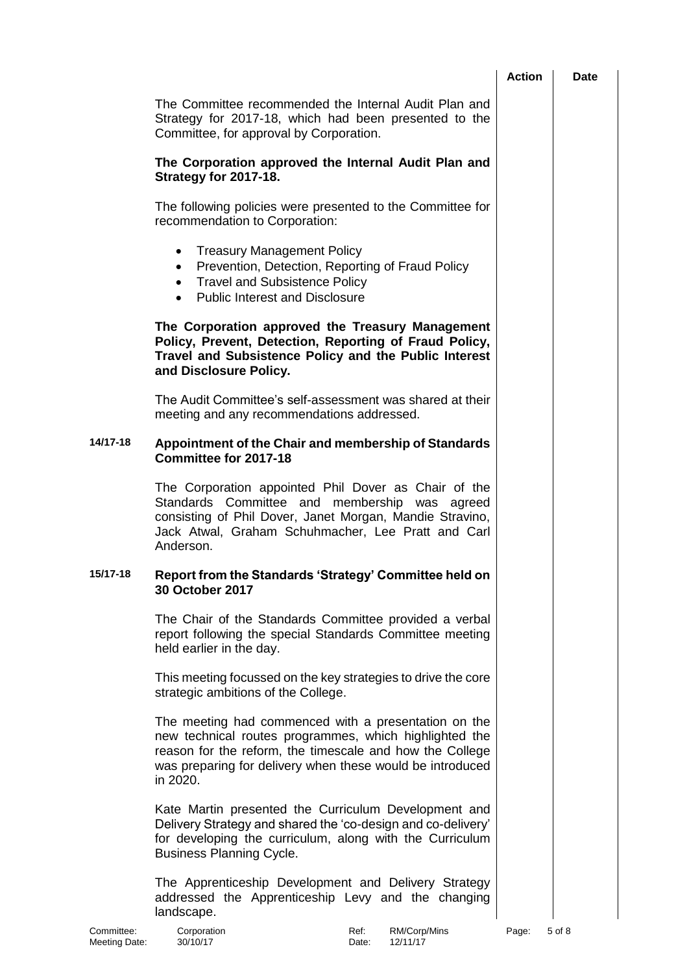|          |                                                                                                                                                                                                                                                     | <b>Action</b> | <b>Date</b> |
|----------|-----------------------------------------------------------------------------------------------------------------------------------------------------------------------------------------------------------------------------------------------------|---------------|-------------|
|          | The Committee recommended the Internal Audit Plan and<br>Strategy for 2017-18, which had been presented to the<br>Committee, for approval by Corporation.                                                                                           |               |             |
|          | The Corporation approved the Internal Audit Plan and<br>Strategy for 2017-18.                                                                                                                                                                       |               |             |
|          | The following policies were presented to the Committee for<br>recommendation to Corporation:                                                                                                                                                        |               |             |
|          | <b>Treasury Management Policy</b><br>$\bullet$<br>Prevention, Detection, Reporting of Fraud Policy<br>$\bullet$<br><b>Travel and Subsistence Policy</b><br>$\bullet$<br><b>Public Interest and Disclosure</b><br>$\bullet$                          |               |             |
|          | The Corporation approved the Treasury Management<br>Policy, Prevent, Detection, Reporting of Fraud Policy,<br>Travel and Subsistence Policy and the Public Interest<br>and Disclosure Policy.                                                       |               |             |
|          | The Audit Committee's self-assessment was shared at their<br>meeting and any recommendations addressed.                                                                                                                                             |               |             |
| 14/17-18 | Appointment of the Chair and membership of Standards<br>Committee for 2017-18                                                                                                                                                                       |               |             |
|          | The Corporation appointed Phil Dover as Chair of the<br>Standards Committee and membership was agreed<br>consisting of Phil Dover, Janet Morgan, Mandie Stravino,<br>Jack Atwal, Graham Schuhmacher, Lee Pratt and Carl<br>Anderson.                |               |             |
| 15/17-18 | Report from the Standards 'Strategy' Committee held on<br>30 October 2017                                                                                                                                                                           |               |             |
|          | The Chair of the Standards Committee provided a verbal<br>report following the special Standards Committee meeting<br>held earlier in the day.                                                                                                      |               |             |
|          | This meeting focussed on the key strategies to drive the core<br>strategic ambitions of the College.                                                                                                                                                |               |             |
|          | The meeting had commenced with a presentation on the<br>new technical routes programmes, which highlighted the<br>reason for the reform, the timescale and how the College<br>was preparing for delivery when these would be introduced<br>in 2020. |               |             |
|          | Kate Martin presented the Curriculum Development and<br>Delivery Strategy and shared the 'co-design and co-delivery'<br>for developing the curriculum, along with the Curriculum<br><b>Business Planning Cycle.</b>                                 |               |             |
|          | The Apprenticeship Development and Delivery Strategy<br>addressed the Apprenticeship Levy and the changing<br>landscape.                                                                                                                            |               |             |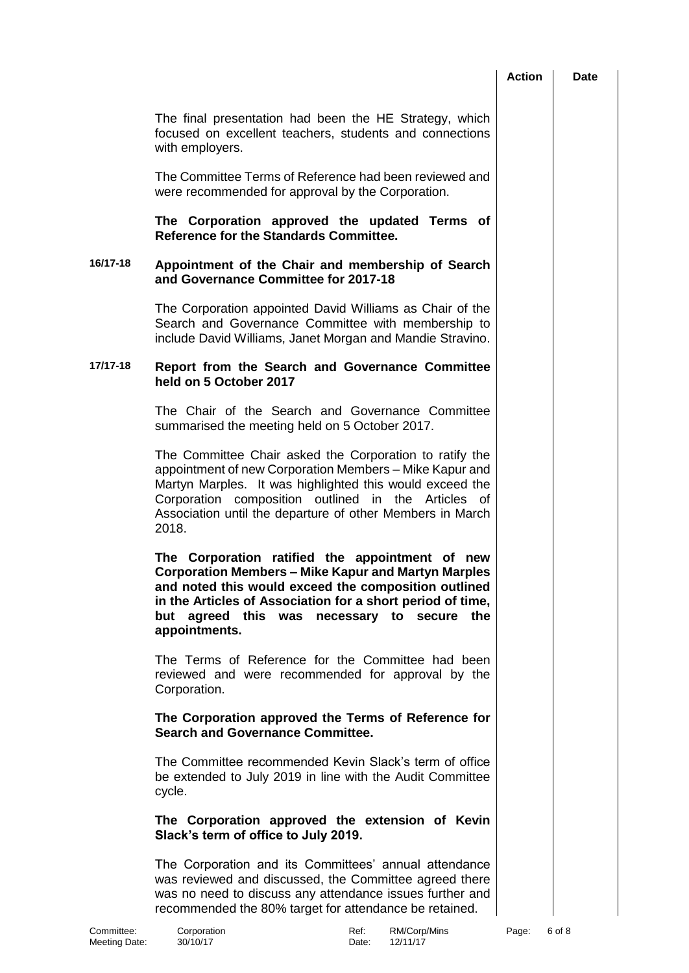|                             |                                                                                                                                                                                                                                                                                                             | <b>Action</b> | Date   |
|-----------------------------|-------------------------------------------------------------------------------------------------------------------------------------------------------------------------------------------------------------------------------------------------------------------------------------------------------------|---------------|--------|
|                             | The final presentation had been the HE Strategy, which<br>focused on excellent teachers, students and connections<br>with employers.                                                                                                                                                                        |               |        |
|                             | The Committee Terms of Reference had been reviewed and<br>were recommended for approval by the Corporation.                                                                                                                                                                                                 |               |        |
|                             | The Corporation approved the updated Terms of<br>Reference for the Standards Committee.                                                                                                                                                                                                                     |               |        |
| 16/17-18                    | Appointment of the Chair and membership of Search<br>and Governance Committee for 2017-18                                                                                                                                                                                                                   |               |        |
|                             | The Corporation appointed David Williams as Chair of the<br>Search and Governance Committee with membership to<br>include David Williams, Janet Morgan and Mandie Stravino.                                                                                                                                 |               |        |
| 17/17-18                    | Report from the Search and Governance Committee<br>held on 5 October 2017                                                                                                                                                                                                                                   |               |        |
|                             | The Chair of the Search and Governance Committee<br>summarised the meeting held on 5 October 2017.                                                                                                                                                                                                          |               |        |
|                             | The Committee Chair asked the Corporation to ratify the<br>appointment of new Corporation Members - Mike Kapur and<br>Martyn Marples. It was highlighted this would exceed the<br>Corporation composition outlined in the Articles of<br>Association until the departure of other Members in March<br>2018. |               |        |
|                             | The Corporation ratified the appointment of new<br>Corporation Members – Mike Kapur and Martyn Marples<br>and noted this would exceed the composition outlined<br>in the Articles of Association for a short period of time,<br>but agreed this was necessary to secure the<br>appointments.                |               |        |
|                             | The Terms of Reference for the Committee had been<br>reviewed and were recommended for approval by the<br>Corporation.                                                                                                                                                                                      |               |        |
|                             | The Corporation approved the Terms of Reference for<br><b>Search and Governance Committee.</b>                                                                                                                                                                                                              |               |        |
|                             | The Committee recommended Kevin Slack's term of office<br>be extended to July 2019 in line with the Audit Committee<br>cycle.                                                                                                                                                                               |               |        |
|                             | The Corporation approved the extension of Kevin<br>Slack's term of office to July 2019.                                                                                                                                                                                                                     |               |        |
|                             | The Corporation and its Committees' annual attendance<br>was reviewed and discussed, the Committee agreed there<br>was no need to discuss any attendance issues further and<br>recommended the 80% target for attendance be retained.                                                                       |               |        |
| Committee:<br>Meeting Date: | RM/Corp/Mins<br>Corporation<br>Ref:<br>30/10/17<br>12/11/17<br>Date:                                                                                                                                                                                                                                        | Page:         | 6 of 8 |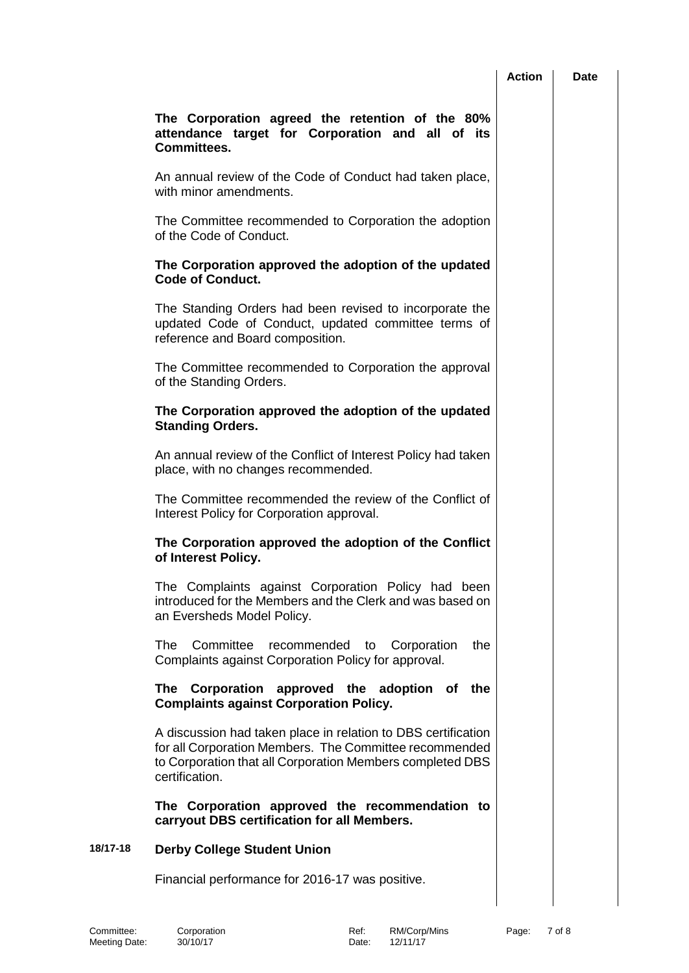|          |                                                                                                                                                                                                        | <b>Action</b> | Date |
|----------|--------------------------------------------------------------------------------------------------------------------------------------------------------------------------------------------------------|---------------|------|
|          | The Corporation agreed the retention of the 80%<br>attendance target for Corporation and all of its<br><b>Committees.</b>                                                                              |               |      |
|          | An annual review of the Code of Conduct had taken place,<br>with minor amendments.                                                                                                                     |               |      |
|          | The Committee recommended to Corporation the adoption<br>of the Code of Conduct.                                                                                                                       |               |      |
|          | The Corporation approved the adoption of the updated<br><b>Code of Conduct.</b>                                                                                                                        |               |      |
|          | The Standing Orders had been revised to incorporate the<br>updated Code of Conduct, updated committee terms of<br>reference and Board composition.                                                     |               |      |
|          | The Committee recommended to Corporation the approval<br>of the Standing Orders.                                                                                                                       |               |      |
|          | The Corporation approved the adoption of the updated<br><b>Standing Orders.</b>                                                                                                                        |               |      |
|          | An annual review of the Conflict of Interest Policy had taken<br>place, with no changes recommended.                                                                                                   |               |      |
|          | The Committee recommended the review of the Conflict of<br>Interest Policy for Corporation approval.                                                                                                   |               |      |
|          | The Corporation approved the adoption of the Conflict<br>of Interest Policy.                                                                                                                           |               |      |
|          | The Complaints against Corporation Policy had been<br>introduced for the Members and the Clerk and was based on<br>an Eversheds Model Policy.                                                          |               |      |
|          | Committee<br>The<br>recommended<br>Corporation<br>the<br>to<br>Complaints against Corporation Policy for approval.                                                                                     |               |      |
|          | The Corporation approved the adoption of the<br><b>Complaints against Corporation Policy.</b>                                                                                                          |               |      |
|          | A discussion had taken place in relation to DBS certification<br>for all Corporation Members. The Committee recommended<br>to Corporation that all Corporation Members completed DBS<br>certification. |               |      |
|          | The Corporation approved the recommendation to<br>carryout DBS certification for all Members.                                                                                                          |               |      |
| 18/17-18 | <b>Derby College Student Union</b>                                                                                                                                                                     |               |      |
|          | Financial performance for 2016-17 was positive.                                                                                                                                                        |               |      |
|          |                                                                                                                                                                                                        |               |      |